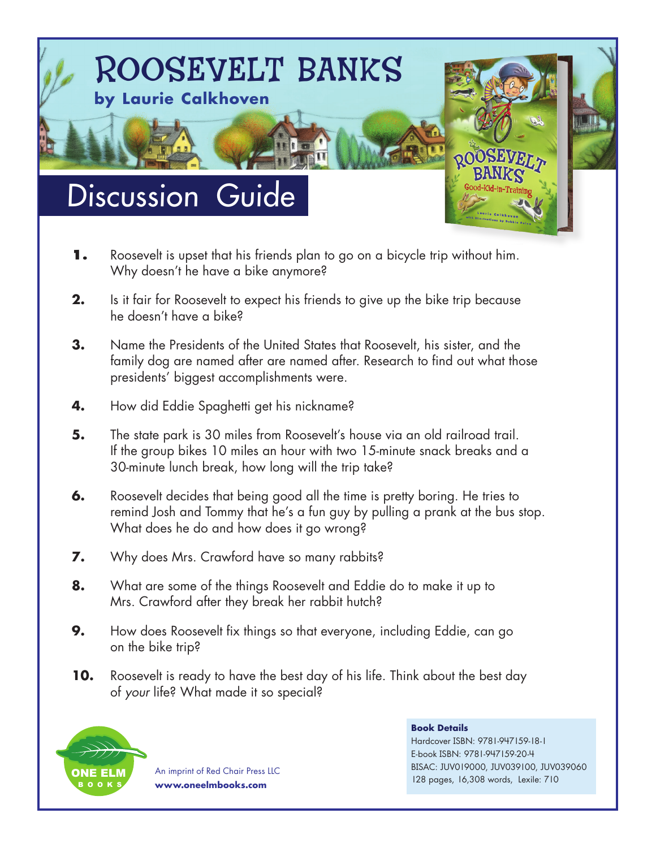

- **1.** Roosevelt is upset that his friends plan to go on a bicycle trip without him. Why doesn't he have a bike anymore?
- **2.** Is it fair for Roosevelt to expect his friends to give up the bike trip because he doesn't have a bike?
- **3.** Name the Presidents of the United States that Roosevelt, his sister, and the family dog are named after are named after. Research to find out what those presidents' biggest accomplishments were.
- **4.** How did Eddie Spaghetti get his nickname?
- **5.** The state park is 30 miles from Roosevelt's house via an old railroad trail. If the group bikes 10 miles an hour with two 15-minute snack breaks and a 30-minute lunch break, how long will the trip take?
- **6.** Roosevelt decides that being good all the time is pretty boring. He tries to remind Josh and Tommy that he's a fun guy by pulling a prank at the bus stop. What does he do and how does it go wrong?
- **7.** Why does Mrs. Crawford have so many rabbits?
- **8.** What are some of the things Roosevelt and Eddie do to make it up to Mrs. Crawford after they break her rabbit hutch?
- **9.** How does Roosevelt fix things so that everyone, including Eddie, can go on the bike trip?
- **10.** Roosevelt is ready to have the best day of his life. Think about the best day of *your* life? What made it so special?



An imprint of Red Chair Press LLC **www.oneelmbooks.com**

## **Book Details**

Hardcover ISBN: 9781-947159-18-1 E-book ISBN: 9781-947159-20-4 BISAC: JUV019000, JUV039100, JUV039060 128 pages, 16,308 words, Lexile: 710